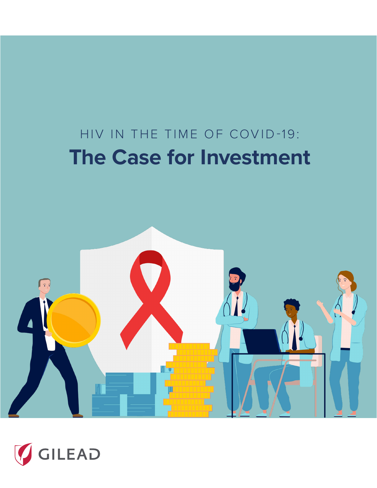### HIV IN THE TIME OF COVID-19: **The Case for Investment**



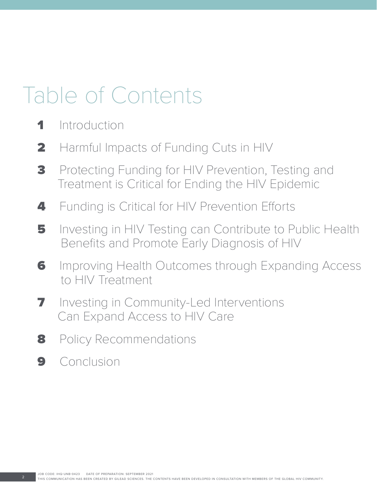### Table of Contents

- 1 Introduction
- 2 Harmful Impacts of Funding Cuts in HIV
- **3** Protecting Funding for HIV Prevention, Testing and Treatment is Critical for Ending the HIV Epidemic
- 4 Funding is Critical for HIV Prevention Efforts
- 5 Investing in HIV Testing can Contribute to Public Health Benefits and Promote Early Diagnosis of HIV
- **6** Improving Health Outcomes through Expanding Access to HIV Treatment
- **7** Investing in Community-Led Interventions Can Expand Access to HIV Care
- 8 Policy Recommendations
- 9 Conclusion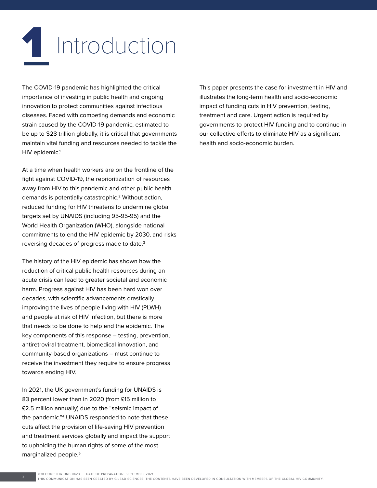### **1** Introduction

The COVID-19 pandemic has highlighted the critical importance of investing in public health and ongoing innovation to protect communities against infectious diseases. Faced with competing demands and economic strain caused by the COVID-19 pandemic, estimated to be up to \$28 trillion globally, it is critical that governments maintain vital funding and resources needed to tackle the HIV epidemic.<sup>1</sup>

At a time when health workers are on the frontline of the fight against COVID-19, the reprioritization of resources away from HIV to this pandemic and other public health demands is potentially catastrophic.2 Without action, reduced funding for HIV threatens to undermine global targets set by UNAIDS (including 95-95-95) and the World Health Organization (WHO), alongside national commitments to end the HIV epidemic by 2030, and risks reversing decades of progress made to date.3

The history of the HIV epidemic has shown how the reduction of critical public health resources during an acute crisis can lead to greater societal and economic harm. Progress against HIV has been hard won over decades, with scientific advancements drastically improving the lives of people living with HIV (PLWH) and people at risk of HIV infection, but there is more that needs to be done to help end the epidemic. The key components of this response – testing, prevention, antiretroviral treatment, biomedical innovation, and community-based organizations – must continue to receive the investment they require to ensure progress towards ending HIV.

In 2021, the UK government's funding for UNAIDS is 83 percent lower than in 2020 (from £15 million to £2.5 million annually) due to the "seismic impact of the pandemic."4 UNAIDS responded to note that these cuts affect the provision of life-saving HIV prevention and treatment services globally and impact the support to upholding the human rights of some of the most marginalized people.5

This paper presents the case for investment in HIV and illustrates the long-term health and socio-economic impact of funding cuts in HIV prevention, testing, treatment and care. Urgent action is required by governments to protect HIV funding and to continue in our collective efforts to eliminate HIV as a significant health and socio-economic burden.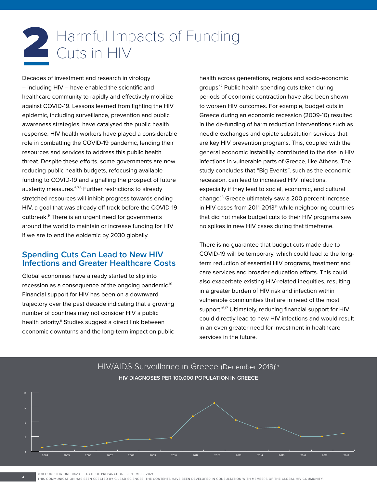## Harmful Impacts of Funding<br>Cuts in HIV

Decades of investment and research in virology – including HIV – have enabled the scientific and healthcare community to rapidly and effectively mobilize against COVID-19. Lessons learned from fighting the HIV epidemic, including surveillance, prevention and public awareness strategies, have catalysed the public health response. HIV health workers have played a considerable role in combatting the COVID-19 pandemic, lending their resources and services to address this public health threat. Despite these efforts, some governments are now reducing public health budgets, refocusing available funding to COVID-19 and signalling the prospect of future austerity measures.<sup>6,7,8</sup> Further restrictions to already stretched resources will inhibit progress towards ending HIV, a goal that was already off track before the COVID-19 outbreak.9 There is an urgent need for governments around the world to maintain or increase funding for HIV if we are to end the epidemic by 2030 globally.

#### **Spending Cuts Can Lead to New HIV Infections and Greater Healthcare Costs**

Global economies have already started to slip into recession as a consequence of the ongoing pandemic.10 Financial support for HIV has been on a downward trajectory over the past decade indicating that a growing number of countries may not consider HIV a public health priority.<sup>11</sup> Studies suggest a direct link between economic downturns and the long-term impact on public

health across generations, regions and socio-economic groups.12 Public health spending cuts taken during periods of economic contraction have also been shown to worsen HIV outcomes. For example, budget cuts in Greece during an economic recession (2009-10) resulted in the de-funding of harm reduction interventions such as needle exchanges and opiate substitution services that are key HIV prevention programs. This, coupled with the general economic instability, contributed to the rise in HIV infections in vulnerable parts of Greece, like Athens. The study concludes that "Big Events", such as the economic recession, can lead to increased HIV infections, especially if they lead to social, economic, and cultural change.13 Greece ultimately saw a 200 percent increase in HIV cases from 2011-2013<sup>14</sup> while neighboring countries that did not make budget cuts to their HIV programs saw no spikes in new HIV cases during that timeframe.

There is no guarantee that budget cuts made due to COVID-19 will be temporary, which could lead to the longterm reduction of essential HIV programs, treatment and care services and broader education efforts. This could also exacerbate existing HIV-related inequities, resulting in a greater burden of HIV risk and infection within vulnerable communities that are in need of the most support.<sup>16,17</sup> Ultimately, reducing financial support for HIV could directly lead to new HIV infections and would result in an even greater need for investment in healthcare services in the future.



JOB CODE: IHQ-UNB-0423 DATE OF PREPARATION: SEPTEMBER 2021

THIS COMMUNICATION HAS BEEN CREATED BY GILEAD SCIENCES. THE CONTENTS HAVE BEEN DEVELOPED IN CONSULTATION WITH MEMBERS OF THE GLOBAL HIV COMMUNITY. 4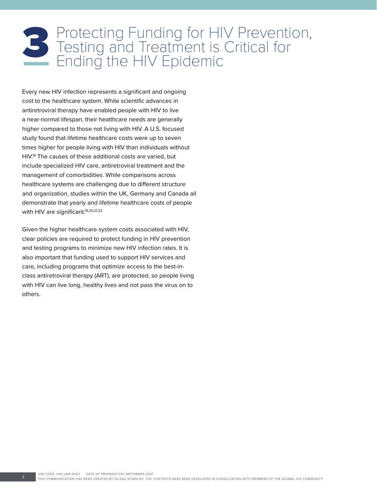# **B** Protecting Funding for HIV Prevention,<br>Testing and Treatment is Critical for<br>Ending the HIV Epidemic

Every new HIV infection represents a significant and ongoing cost to the healthcare system. While scientific advances in antiretroviral therapy have enabled people with HIV to live a near-normal lifespan, their healthcare needs are generally higher compared to those not living with HIV. A U.S. focused study found that lifetime healthcare costs were up to seven times higher for people living with HIV than individuals without HIV.18 The causes of these additional costs are varied, but include specialized HIV care, antiretroviral treatment and the management of comorbidities. While comparisons across healthcare systems are challenging due to different structure and organization, studies within the UK, Germany and Canada all demonstrate that yearly and lifetime healthcare costs of people with HIV are significant.<sup>19,20,21,22</sup>

Given the higher healthcare system costs associated with HIV, clear policies are required to protect funding in HIV prevention and testing programs to minimize new HIV infection rates. It is also important that funding used to support HIV services and care, including programs that optimize access to the best-inclass antiretroviral therapy (ART), are protected, so people living with HIV can live long, healthy lives and not pass the virus on to others.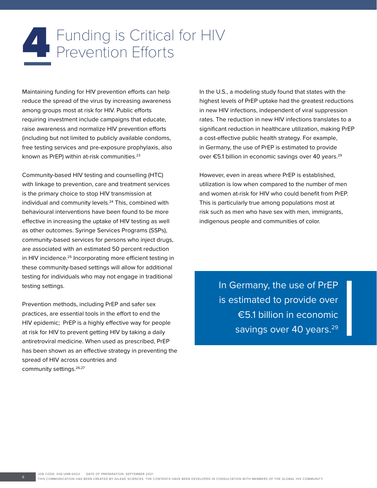### Funding is Critical for HIV<br>Prevention Efforts

Maintaining funding for HIV prevention efforts can help reduce the spread of the virus by increasing awareness among groups most at risk for HIV. Public efforts requiring investment include campaigns that educate, raise awareness and normalize HIV prevention efforts (including but not limited to publicly available condoms, free testing services and pre-exposure prophylaxis, also known as PrEP) within at-risk communities.<sup>23</sup>

Community-based HIV testing and counselling (HTC) with linkage to prevention, care and treatment services is the primary choice to stop HIV transmission at individual and community levels.<sup>24</sup> This, combined with behavioural interventions have been found to be more effective in increasing the uptake of HIV testing as well as other outcomes. Syringe Services Programs (SSPs), community-based services for persons who inject drugs, are associated with an estimated 50 percent reduction in HIV incidence.<sup>25</sup> Incorporating more efficient testing in these community-based settings will allow for additional testing for individuals who may not engage in traditional testing settings.

Prevention methods, including PrEP and safer sex practices, are essential tools in the effort to end the HIV epidemic; PrEP is a highly effective way for people at risk for HIV to prevent getting HIV by taking a daily antiretroviral medicine. When used as prescribed, PrEP has been shown as an effective strategy in preventing the spread of HIV across countries and community settings.<sup>26,27</sup>

In the U.S., a modeling study found that states with the highest levels of PrEP uptake had the greatest reductions in new HIV infections, independent of viral suppression rates. The reduction in new HIV infections translates to a significant reduction in healthcare utilization, making PrEP a cost-effective public health strategy. For example, in Germany, the use of PrEP is estimated to provide over €5.1 billion in economic savings over 40 years.<sup>29</sup>

However, even in areas where PrEP is established, utilization is low when compared to the number of men and women at-risk for HIV who could benefit from PrEP. This is particularly true among populations most at risk such as men who have sex with men, immigrants, indigenous people and communities of color.

> In Germany, the use of PrEP is estimated to provide over €5.1 billion in economic savings over 40 years.<sup>29</sup>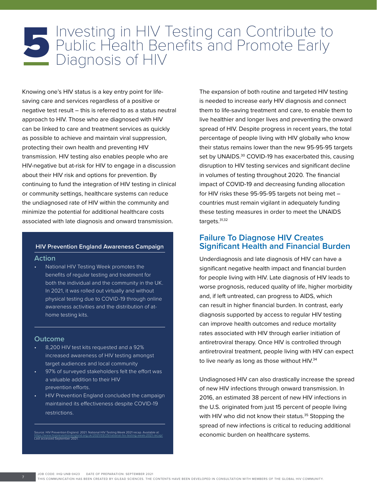# Investing in HIV Testing can Contribute to<br>
Public Health Benefits and Promote Early<br>
Diagnosis of HIV

Knowing one's HIV status is a key entry point for lifesaving care and services regardless of a positive or negative test result – this is referred to as a status neutral approach to HIV. Those who are diagnosed with HIV can be linked to care and treatment services as quickly as possible to achieve and maintain viral suppression, protecting their own health and preventing HIV transmission. HIV testing also enables people who are HIV-negative but at-risk for HIV to engage in a discussion about their HIV risk and options for prevention. By continuing to fund the integration of HIV testing in clinical or community settings, healthcare systems can reduce the undiagnosed rate of HIV within the community and minimize the potential for additional healthcare costs associated with late diagnosis and onward transmission.

#### **HIV Prevention England Awareness Campaign**

#### **Action**

• National HIV Testing Week promotes the benefits of regular testing and treatment for both the individual and the community in the UK. In 2021, it was rolled out virtually and without physical testing due to COVID-19 through online awareness activities and the distribution of athome testing kits.

#### **Outcome**

- 8,200 HIV test kits requested and a 92% increased awareness of HIV testing amongst target audiences and local community
- 97% of surveyed stakeholders felt the effort was a valuable addition to their HIV prevention efforts.
- HIV Prevention England concluded the campaign maintained its effectiveness despite COVID-19 restrictions.

urce: HIV Prevention England. 2021. National HIV Testing Week 2021 recap. Available at <https://www.hivpreventionengland.org.uk/2021/03/25/national-hiv-testing-week-2021-recap/> Last accessed September 2021.

The expansion of both routine and targeted HIV testing is needed to increase early HIV diagnosis and connect them to life-saving treatment and care, to enable them to live healthier and longer lives and preventing the onward spread of HIV. Despite progress in recent years, the total percentage of people living with HIV globally who know their status remains lower than the new 95-95-95 targets set by UNAIDS.<sup>30</sup> COVID-19 has exacerbated this, causing disruption to HIV testing services and significant decline in volumes of testing throughout 2020. The financial impact of COVID-19 and decreasing funding allocation for HIV risks these 95-95-95 targets not being met – countries must remain vigilant in adequately funding these testing measures in order to meet the UNAIDS targets.31,32

#### **Failure To Diagnose HIV Creates Significant Health and Financial Burden**

Underdiagnosis and late diagnosis of HIV can have a significant negative health impact and financial burden for people living with HIV. Late diagnosis of HIV leads to worse prognosis, reduced quality of life, higher morbidity and, if left untreated, can progress to AIDS, which can result in higher financial burden. In contrast, early diagnosis supported by access to regular HIV testing can improve health outcomes and reduce mortality rates associated with HIV through earlier initiation of antiretroviral therapy. Once HIV is controlled through antiretroviral treatment, people living with HIV can expect to live nearly as long as those without HIV.<sup>34</sup>

Undiagnosed HIV can also drastically increase the spread of new HIV infections through onward transmission. In 2016, an estimated 38 percent of new HIV infections in the U.S. originated from just 15 percent of people living with HIV who did not know their status.<sup>35</sup> Stopping the spread of new infections is critical to reducing additional economic burden on healthcare systems.

JOB CODE: IHQ-UNB-0423 DATE OF PREPARATION: SEPTEMBER 2021

THIS COMMUNICATION HAS BEEN CREATED BY GILEAD SCIENCES. THE CONTENTS HAVE BEEN DEVELOPED IN CONSULTATION WITH MEMBERS OF THE GLOBAL HIV COMMUNITY. 7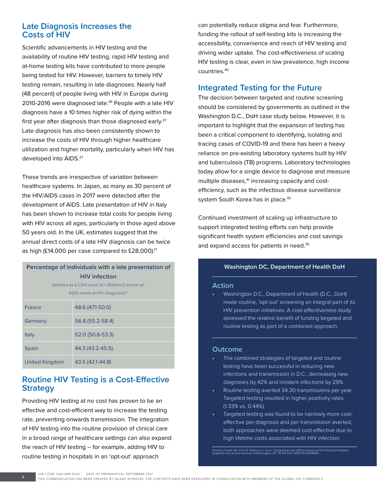#### **Late Diagnosis Increases the Costs of HIV**

Scientific advancements in HIV testing and the availability of routine HIV testing, rapid HIV testing and at-home testing kits have contributed to more people being tested for HIV. However, barriers to timely HIV testing remain, resulting in late diagnoses. Nearly half (48 percent) of people living with HIV in Europe during 2010-2016 were diagnosed late.<sup>36</sup> People with a late HIV diagnosis have a 10 times higher risk of dying within the first year after diagnosis than those diagnosed early.<sup>27</sup> Late diagnosis has also been consistently shown to increase the costs of HIV through higher healthcare utilization and higher mortality, particularly when HIV has developed into AIDS.<sup>27</sup>

These trends are irrespective of variation between healthcare systems. In Japan, as many as 30 percent of the HIV/AIDS cases in 2017 were detected after the development of AIDS. Late presentation of HIV in Italy has been shown to increase total costs for people living with HIV across all ages, particularly in those aged above 50 years old. In the UK, estimates suggest that the annual direct costs of a late HIV diagnosis can be twice as high (£14,000 per case compared to £28,000).<sup>17</sup>

| Percentage of individuals with a late presentation of |                  |
|-------------------------------------------------------|------------------|
| <b>HIV</b> infection                                  |                  |
| (defined as a CD4 count of <350/mm3 and/or an         |                  |
| AIDS-event at HIV-diagnosis) <sup>30</sup>            |                  |
| France                                                | 48.6 (47.1-50.0) |
| Germany                                               | 56.8 (55.2-58.4) |
| Italy                                                 | 52.0 (50.8-53.3) |
| <b>Spain</b>                                          | 44.3 (43.2-45.5) |
| United Kingdom                                        | 43.5 (42.1-44.8) |

#### **Routine HIV Testing is a Cost-Effective Strategy**

Providing HIV testing at no cost has proven to be an effective and cost-efficient way to increase the testing rate, preventing onwards transmission. The integration of HIV testing into the routine provision of clinical care in a broad range of healthcare settings can also expand the reach of HIV testing – for example, adding HIV to routine testing in hospitals in an 'opt-out' approach

can potentially reduce stigma and fear. Furthermore, funding the rollout of self-testing kits is increasing the accessibility, convenience and reach of HIV testing and driving wider uptake. The cost-effectiveness of scaling HIV testing is clear, even in low prevalence, high income countries.40

#### **Integrated Testing for the Future**

The decision between targeted and routine screening should be considered by governments as outlined in the Washington D.C., DoH case study below. However, it is important to highlight that the expansion of testing has been a critical component to identifying, isolating and tracing cases of COVID-19 and there has been a heavy reliance on pre-existing laboratory systems built by HIV and tuberculosis (TB) programs. Laboratory technologies today allow for a single device to diagnose and measure multiple diseases,<sup>41</sup> increasing capacity and costefficiency, such as the infectious disease surveillance system South Korea has in place.<sup>42</sup>

Continued investment of scaling up infrastructure to support integrated testing efforts can help provide significant health system efficiencies and cost savings and expand access for patients in need.<sup>35</sup>

#### **Washington DC, Department of Health DoH**

#### **Action**

• Washington D.C., Department of Health (D.C., DoH) made routine, 'opt-out' screening an integral part of its HIV prevention initiatives. A cost-effectiveness study assessed the relative benefit of funding targeted and routine testing as part of a combined approach.

#### **Outcome**

- The combined strategies of targeted and routine testing have been successful in reducing new infections and transmission in D.C., decreasing new diagnoses by 42% and incident infections by 29%.
- Routine testing averted 34.30 transmissions per year. Targeted testing resulted in higher positivity rates (1.33% vs. 0.44%).
- Targeted testing was found to be narrowly more costeffective per diagnosis and per transmission averted, both approaches were deemed cost-effective due to high lifetime costs associated with HIV infection.

Source: Castel AD, Choi S, Skillicorn J, et al. Comparing cost-effectiveness of HIV testing strategies: targeted and routine testing in Washington, DC. PLOS One.2015;10:e0139605.

JOB CODE: IHQ-UNB-0423 DATE OF PREPARATION: SEPTEMBER 2021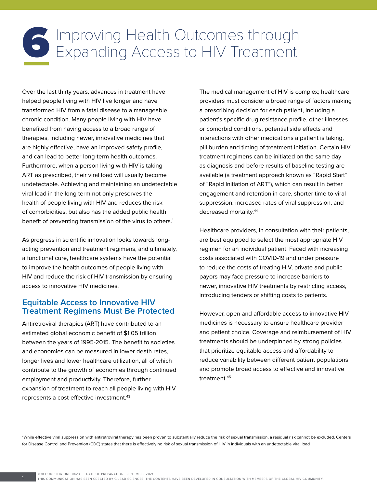## Improving Health Outcomes through<br>Expanding Access to HIV Treatment

Over the last thirty years, advances in treatment have helped people living with HIV live longer and have transformed HIV from a fatal disease to a manageable chronic condition. Many people living with HIV have benefited from having access to a broad range of therapies, including newer, innovative medicines that are highly effective, have an improved safety profile, and can lead to better long-term health outcomes. Furthermore, when a person living with HIV is taking ART as prescribed, their viral load will usually become undetectable. Achieving and maintaining an undetectable viral load in the long term not only preserves the health of people living with HIV and reduces the risk of comorbidities, but also has the added public health benefit of preventing transmission of the virus to others.<sup>\*</sup>

As progress in scientific innovation looks towards longacting prevention and treatment regimens, and ultimately, a functional cure, healthcare systems have the potential to improve the health outcomes of people living with HIV and reduce the risk of HIV transmission by ensuring access to innovative HIV medicines.

#### **Equitable Access to Innovative HIV Treatment Regimens Must Be Protected**

Antiretroviral therapies (ART) have contributed to an estimated global economic benefit of \$1.05 trillion between the years of 1995-2015. The benefit to societies and economies can be measured in lower death rates, longer lives and lower healthcare utilization, all of which contribute to the growth of economies through continued employment and productivity. Therefore, further expansion of treatment to reach all people living with HIV represents a cost-effective investment.<sup>43</sup>

The medical management of HIV is complex; healthcare providers must consider a broad range of factors making a prescribing decision for each patient, including a patient's specific drug resistance profile, other illnesses or comorbid conditions, potential side effects and interactions with other medications a patient is taking, pill burden and timing of treatment initiation. Certain HIV treatment regimens can be initiated on the same day as diagnosis and before results of baseline testing are available (a treatment approach known as "Rapid Start" of "Rapid Initiation of ART"), which can result in better engagement and retention in care, shorter time to viral suppression, increased rates of viral suppression, and decreased mortality.44

Healthcare providers, in consultation with their patients, are best equipped to select the most appropriate HIV regimen for an individual patient. Faced with increasing costs associated with COVID-19 and under pressure to reduce the costs of treating HIV, private and public payors may face pressure to increase barriers to newer, innovative HIV treatments by restricting access, introducing tenders or shifting costs to patients.

However, open and affordable access to innovative HIV medicines is necessary to ensure healthcare provider and patient choice. Coverage and reimbursement of HIV treatments should be underpinned by strong policies that prioritize equitable access and affordability to reduce variability between different patient populations and promote broad access to effective and innovative treatment.45

\*While effective viral suppression with antiretroviral therapy has been proven to substantially reduce the risk of sexual transmission, a residual risk cannot be excluded. Centers for Disease Control and Prevention (CDC) states that there is effectively no risk of sexual transmission of HIV in individuals with an undetectable viral load

JOB CODE: IHQ-UNB-0423 DATE OF PREPARATION: SEPTEMBER 2021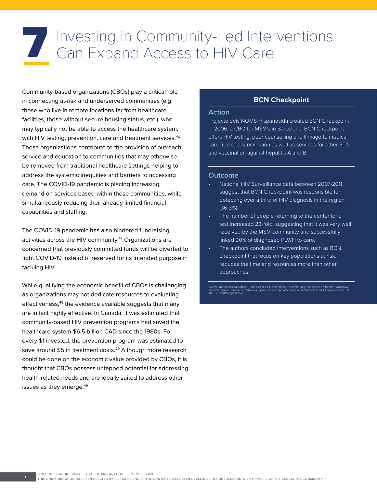# Investing in Community-Led Interventions<br>Can Expand Access to HIV Care

Community-based organizations (CBOs) play a critical role in connecting at-risk and underserved communities (e.g. those who live in remote locations far from healthcare facilities, those without secure housing status, etc.), who may typically not be able to access the healthcare system, with HIV testing, prevention, care and treatment services.<sup>46</sup> These organizations contribute to the provision of outreach, service and education to communities that may otherwise be removed from traditional healthcare settings helping to address the systemic inequities and barriers to accessing care. The COVID-19 pandemic is placing increasing demand on services based within these communities, while simultaneously reducing their already limited financial capabilities and staffing.

The COVID-19 pandemic has also hindered fundraising activities across the HIV community.47 Organizations are concerned that previously committed funds will be diverted to fight COVID-19 instead of reserved for its intended purpose in tackling HIV.

While qualifying the economic benefit of CBOs is challenging as organizations may not dedicate resources to evaluating effectiveness,<sup>48</sup> the evidence available suggests that many are in fact highly effective. In Canada, it was estimated that community-based HIV prevention programs had saved the healthcare system \$6.5 billion CAD since the 1980s. For every \$1 invested, the prevention program was estimated to save around \$5 in treatment costs.<sup>20</sup> Although more research could be done on the economic value provided by CBOs, it is thought that CBOs possess untapped potential for addressing health-related needs and are ideally suited to address other issues as they emerge.<sup>49</sup>

#### **BCN Checkpoint**

#### **Action**

Projecte dels NOMS-Hispanosida created BCN Checkpoint in 2006, a CBO for MSM's in Barcelona. BCN Checkpoint offers HIV testing, peer counselling and linkage to medical care free of discrimination as well as services for other STI's and vaccination against hepatitis A and B.

#### **Outcome**

- National HIV Surveillance data between 2007-2011 suggest that BCN Checkpoint was responsible for detecting over a third of HIV diagnosis in the region (36.3%).
- The number of people returning to the center for a test increased 23-fold, suggesting that it was very well received by the MSM community and successfully linked 90% of diagnosed PLWH to care.
- The authors concluded interventions such as BCN checkpoint that focus on key populations at risk, reduces the time and resources more than other approaches.

Source: Meulbroek M, Ditzel E, Saz J, et al. BCN Checkpoint, a community-based centre for men who have<br>sex with men in Barcelona, Catalonia, Spain, shows high efficiency in HIV detection and linkage to care. HIV<br>Med. 2013;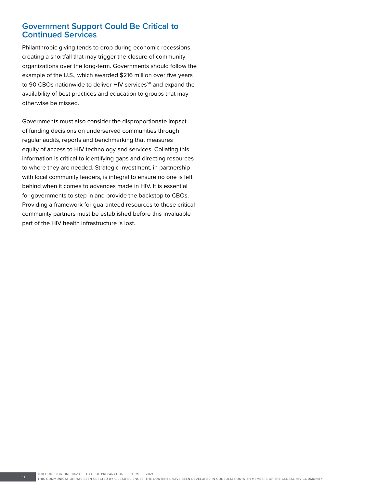#### **Government Support Could Be Critical to Continued Services**

Philanthropic giving tends to drop during economic recessions, creating a shortfall that may trigger the closure of community organizations over the long-term. Governments should follow the example of the U.S., which awarded \$216 million over five years to 90 CBOs nationwide to deliver HIV services<sup>50</sup> and expand the availability of best practices and education to groups that may otherwise be missed.

Governments must also consider the disproportionate impact of funding decisions on underserved communities through regular audits, reports and benchmarking that measures equity of access to HIV technology and services. Collating this information is critical to identifying gaps and directing resources to where they are needed. Strategic investment, in partnership with local community leaders, is integral to ensure no one is left behind when it comes to advances made in HIV. It is essential for governments to step in and provide the backstop to CBOs. Providing a framework for guaranteed resources to these critical community partners must be established before this invaluable part of the HIV health infrastructure is lost.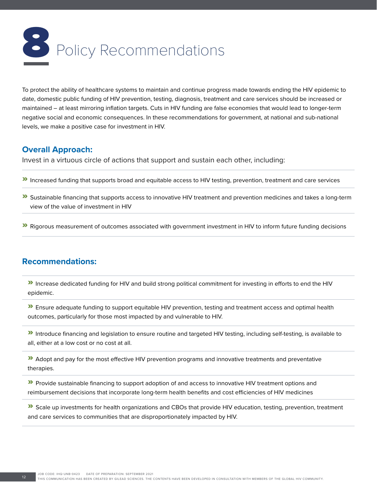

To protect the ability of healthcare systems to maintain and continue progress made towards ending the HIV epidemic to date, domestic public funding of HIV prevention, testing, diagnosis, treatment and care services should be increased or maintained – at least mirroring inflation targets. Cuts in HIV funding are false economies that would lead to longer-term negative social and economic consequences. In these recommendations for government, at national and sub-national levels, we make a positive case for investment in HIV.

#### **Overall Approach:**

Invest in a virtuous circle of actions that support and sustain each other, including:

- » Increased funding that supports broad and equitable access to HIV testing, prevention, treatment and care services
- **»** Sustainable financing that supports access to innovative HIV treatment and prevention medicines and takes a long-term view of the value of investment in HIV
- » Rigorous measurement of outcomes associated with government investment in HIV to inform future funding decisions

#### **Recommendations:**

» Increase dedicated funding for HIV and build strong political commitment for investing in efforts to end the HIV epidemic.

» Ensure adequate funding to support equitable HIV prevention, testing and treatment access and optimal health outcomes, particularly for those most impacted by and vulnerable to HIV.

» Introduce financing and legislation to ensure routine and targeted HIV testing, including self-testing, is available to all, either at a low cost or no cost at all.

» Adopt and pay for the most effective HIV prevention programs and innovative treatments and preventative therapies.

**>>** Provide sustainable financing to support adoption of and access to innovative HIV treatment options and reimbursement decisions that incorporate long-term health benefits and cost efficiencies of HIV medicines

» Scale up investments for health organizations and CBOs that provide HIV education, testing, prevention, treatment and care services to communities that are disproportionately impacted by HIV.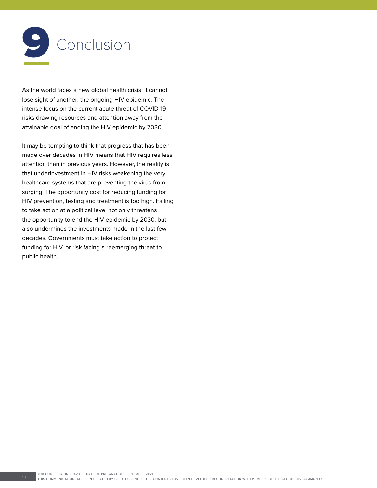

As the world faces a new global health crisis, it cannot lose sight of another: the ongoing HIV epidemic. The intense focus on the current acute threat of COVID-19 risks drawing resources and attention away from the attainable goal of ending the HIV epidemic by 2030.

It may be tempting to think that progress that has been made over decades in HIV means that HIV requires less attention than in previous years. However, the reality is that underinvestment in HIV risks weakening the very healthcare systems that are preventing the virus from surging. The opportunity cost for reducing funding for HIV prevention, testing and treatment is too high. Failing to take action at a political level not only threatens the opportunity to end the HIV epidemic by 2030, but also undermines the investments made in the last few decades. Governments must take action to protect funding for HIV, or risk facing a reemerging threat to public health.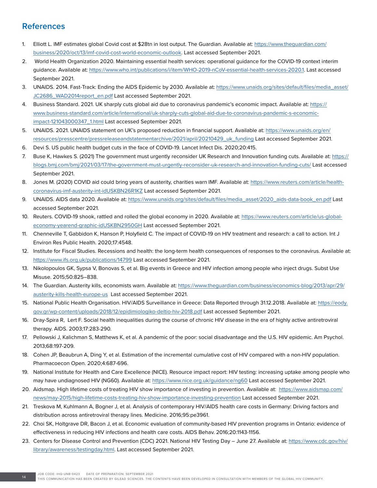#### **References**

- 1. Elliott L. IMF estimates global Covid cost at \$28tn in lost output. The Guardian. Available at: [https://www.theguardian.com/](https://www.theguardian.com/business/2020/oct/13/imf-covid-cost-world-economic-outlook) [business/2020/oct/13/imf-covid-cost-world-economic-outlook](https://www.theguardian.com/business/2020/oct/13/imf-covid-cost-world-economic-outlook). Last accessed September 2021.
- 2. World Health Organization 2020. Maintaining essential health services: operational guidance for the COVID-19 context interim guidance. Available at: [https://www.who.int/publications/i/item/WHO-2019-nCoV-essential-health-services-2020.1.](https://www.who.int/publications/i/item/WHO-2019-nCoV-essential-health-services-2020.1) Last accessed September 2021.
- 3. UNAIDS. 2014. Fast-Track: Ending the AIDS Epidemic by 2030. Available at: [https://www.unaids.org/sites/default/files/media\\_asset/](https://www.unaids.org/sites/default/files/media_asset/JC2686_WAD2014report_en.pdf) [JC2686\\_WAD2014report\\_en.pdf](https://www.unaids.org/sites/default/files/media_asset/JC2686_WAD2014report_en.pdf) Last accessed September 2021.
- 4. Business Standard. 2021. UK sharply cuts global aid due to coronavirus pandemic's economic impact. Available at: [https://](https://www.business-standard.com/article/international/uk-sharply-cuts-global-aid-due-to-coronavirus-pandemic-s-economic-impact-121043000347_1.html) [www.business-standard.com/article/international/uk-sharply-cuts-global-aid-due-to-coronavirus-pandemic-s-economic](https://www.business-standard.com/article/international/uk-sharply-cuts-global-aid-due-to-coronavirus-pandemic-s-economic-impact-121043000347_1.html)[impact-121043000347\\_1.html](https://www.business-standard.com/article/international/uk-sharply-cuts-global-aid-due-to-coronavirus-pandemic-s-economic-impact-121043000347_1.html) Last accessed September 2021.
- 5. UNAIDS. 2021. UNAIDS statement on UK's proposed reduction in financial support. Available at: [https://www.unaids.org/en/](https://www.unaids.org/en/resources/presscentre/pressreleaseandstatementarchive/2021/april/20210429_uk_funding) [resources/presscentre/pressreleaseandstatementarchive/2021/april/20210429\\_uk\\_funding](https://www.unaids.org/en/resources/presscentre/pressreleaseandstatementarchive/2021/april/20210429_uk_funding) Last accessed September 2021.
- 6. Devi S. US public health budget cuts in the face of COVID-19. Lancet Infect Dis. 2020;20:415.
- 7. Buse K, Hawkes S. (2021) The government must urgently reconsider UK Research and Innovation funding cuts. Available at: [https://](https://blogs.bmj.com/bmj/2021/03/17/the-government-must-urgently-reconsider-uk-research-and-innovation-funding-cuts/) [blogs.bmj.com/bmj/2021/03/17/the-government-must-urgently-reconsider-uk-research-and-innovation-funding-cuts/](https://blogs.bmj.com/bmj/2021/03/17/the-government-must-urgently-reconsider-uk-research-and-innovation-funding-cuts/) Last accessed September 2021.
- 8. Jones M. (2020) COVID aid could bring years of austerity, charities warn IMF. Available at: [https://www.reuters.com/article/health](https://www.reuters.com/article/health-coronavirus-imf-austerity-int-idUSKBN26R1KZ)[coronavirus-imf-austerity-int-idUSKBN26R1KZ](https://www.reuters.com/article/health-coronavirus-imf-austerity-int-idUSKBN26R1KZ) Last accessed September 2021.
- 9. UNAIDS. AIDS data 2020. Available at: [https://www.unaids.org/sites/default/files/media\\_asset/2020\\_aids-data-book\\_en.pdf](https://www.unaids.org/sites/default/files/media_asset/2020_aids-data-book_en.pdf) Last accessed September 2021.
- 10. Reuters. COVID-19 shook, rattled and rolled the global economy in 2020. Available at: [https://www.reuters.com/article/us-global](https://www.reuters.com/article/us-global-economy-yearend-graphic-idUSKBN2950GH)[economy-yearend-graphic-idUSKBN2950GH](https://www.reuters.com/article/us-global-economy-yearend-graphic-idUSKBN2950GH) Last accessed September 2021.
- 11. Chenneville T, Gabbidon K, Hanson P, Holyfield C. The impact of COVID-19 on HIV treatment and research: a call to action. Int J Environ Res Public Health. 2020;17:4548.
- 12. Institute for Fiscal Studies. Recessions and health: the long-term health consequences of responses to the coronavirus. Available at: <https://www.ifs.org.uk/publications/14799> Last accessed September 2021.
- 13. Nikolopoulos GK, Sypsa V, Bonovas S, et al. Big events in Greece and HIV infection among people who inject drugs. Subst Use Misuse. 2015;50:825–838.
- 14. The Guardian. Austerity kills, economists warn. Available at: [https://www.theguardian.com/business/economics-blog/2013/apr/29/](https://www.theguardian.com/business/economics-blog/2013/apr/29/austerity-kills-health-europe-us) [austerity-kills-health-europe-us](https://www.theguardian.com/business/economics-blog/2013/apr/29/austerity-kills-health-europe-us) Last accessed September 2021.
- 15. National Public Health Organisation. HIV/AIDS Surveillance in Greece: Data Reported through 31.12.2018. Available at: [https://eody.](https://eody.gov.gr/wp-content/uploads/2018/12/epidimiologiko-deltio-hiv-2018.pdf) [gov.gr/wp-content/uploads/2018/12/epidimiologiko-deltio-hiv-2018.pdf](https://eody.gov.gr/wp-content/uploads/2018/12/epidimiologiko-deltio-hiv-2018.pdf) Last accessed September 2021.
- 16. Dray-Spira R, Lert F. Social health inequalities during the course of chronic HIV disease in the era of highly active antiretroviral therapy. AIDS. 2003;17:283-290.
- 17. Pellowski J, Kalichman S, Matthews K, et al. A pandemic of the poor: social disadvantage and the U.S. HIV epidemic. Am Psychol. 2013;68:197-209.
- 18. Cohen JP, Beaubrun A, Ding Y, et al. Estimation of the incremental cumulative cost of HIV compared with a non-HIV population. Pharmacoecon Open. 2020;4:687-696.
- 19. National Institute for Health and Care Excellence (NICE). Resource impact report: HIV testing: increasing uptake among people who may have undiagnosed HIV (NG60). Available at:<https://www.nice.org.uk/guidance/ng60> Last accessed September 2021.
- 20. Aidsmap. High lifetime costs of treating HIV show importance of investing in prevention. Available at: [https://www.aidsmap.com/](https://www.aidsmap.com/news/may-2015/high-lifetime-costs-treating-hiv-show-importance-investing-prevention) [news/may-2015/high-lifetime-costs-treating-hiv-show-importance-investing-prevention](https://www.aidsmap.com/news/may-2015/high-lifetime-costs-treating-hiv-show-importance-investing-prevention) Last accessed September 2021.
- 21. Treskova M, Kuhlmann A, Bogner J, et al. Analysis of contemporary HIV/AIDS health care costs in Germany: Driving factors and distribution across antiretroviral therapy lines. Medicine. 2016;95:pe3961.
- 22. Choi SK, Holtgrave DR, Bacon J, et al. Economic evaluation of community-based HIV prevention programs in Ontario: evidence of effectiveness in reducing HIV infections and health care costs. AIDS Behav. 2016;20:1143-1156.
- 23. Centers for Disease Control and Prevention (CDC) 2021. National HIV Testing Day June 27. Available at: [https://www.cdc.gov/hiv/](https://www.cdc.gov/hiv/library/awareness/testingday.html) [library/awareness/testingday.html.](https://www.cdc.gov/hiv/library/awareness/testingday.html) Last accessed September 2021.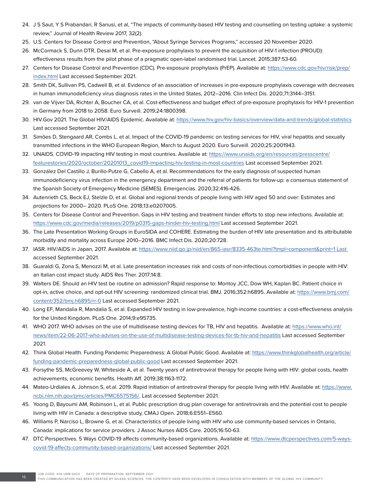- 24. J S Saut, Y S Prabandari, R Sanusi, et al, "The impacts of community-based HIV testing and counselling on testing uptake: a systemic review," Journal of Health Review 2017, 32(2).
- 25. U.S. Centers for Disease Control and Prevention, "About Syringe Services Programs," accessed 20 November 2020.
- 26. McCormack S, Dunn DTR, Desai M, et al. Pre-exposure prophylaxis to prevent the acquisition of HIV-1 infection (PROUD):
- effectiveness results from the pilot phase of a pragmatic open-label randomised trial. Lancet. 2015;387:53-60.
- 27. Centers for Disease Control and Prevention (CDC). Pre-exposure prophylaxis (PrEP). Available at: [https://www.cdc.gov/hiv/risk/prep/](https://www.cdc.gov/hiv/risk/prep/index.html) [index.html](https://www.cdc.gov/hiv/risk/prep/index.html) Last accessed September 2021.
- 28. Smith DK, Sullivan PS, Cadwell B, et al. Evidence of an association of increases in pre-exposure prophylaxis coverage with decreases in human immunodeficiency virus diagnosis rates in the United States, 2012–2016. Clin Infect Dis. 2020;71:3144–3151.
- 29. van de Vijver DA, Richter A, Boucher CA, et al. Cost-effectiveness and budget effect of pre-exposure prophylaxis for HIV-1 prevention in Germany from 2018 to 2058. Euro Surveill. 2019;24:1800398.
- 30. HIV.Gov 2021. The Global HIV/AIDS Epidemic. Available at: <https://www.hiv.gov/hiv-basics/overview/data-and-trends/global-statistics> Last accessed September 2021.
- 31. Simões D, Stengaard AR, Combs L, et al. Impact of the COVID-19 pandemic on testing services for HIV, viral hepatitis and sexually transmitted infections in the WHO European Region, March to August 2020. Euro Surveill. 2020;25:2001943.
- 32. UNAIDS. COVID-19 impacting HIV testing in most countries. Available at: [https://www.unaids.org/en/resources/presscentre/](https://www.unaids.org/en/resources/presscentre/featurestories/2020/october/20201013_covid19-impacting-hiv-testing-in-most-countries) [featurestories/2020/october/20201013\\_covid19-impacting-hiv-testing-in-most-countries](https://www.unaids.org/en/resources/presscentre/featurestories/2020/october/20201013_covid19-impacting-hiv-testing-in-most-countries) Last accessed September 2021.
- 33. González Del Castillo J, Burillo-Putze G, Cabello A, et al. Recommendations for the early diagnosis of suspected human immunodeficiency virus infection in the emergency department and the referral of patients for follow-up: a consensus statement of the Spanish Society of Emergency Medicine (SEMES). Emergencias. 2020;32:416-426.
- 34. Autenrieth CS, Beck EJ, Stelzle D, et al. Global and regional trends of people living with HIV aged 50 and over: Estimates and projections for 2000– 2020. PLoS One. 2018;13:e0207005.
- 35. Centers for Disease Control and Prevention. Gaps in HIV testing and treatment hinder efforts to stop new infections. Available at: <https://www.cdc.gov/media/releases/2019/p0315-gaps-hinder-hiv-testing.html> Last accessed September 2021.
- 36. The Late Presentation Working Groups in EuroSIDA and COHERE. Estimating the burden of HIV late presentation and its attributable morbidity and mortality across Europe 2010–2016. BMC Infect Dis. 2020;20:728.
- 37. IASR. HIV/AIDS in Japan, 2017. Available at: [https://www.niid.go.jp/niid/en/865-iasr/8335-463te.html?tmpl=component&print=1 Last](https://www.niid.go.jp/niid/en/865-iasr/8335-463te.html?tmpl=component&print=1 Last )  accessed September 2021.
- 38. Guaraldi G, Zona S, Menozzi M, et al. Late presentation increases risk and costs of non-infectious comorbidities in people with HIV: an Italian cost impact study. AIDS Res Ther. 2017;14:8.
- 39. Walters DE. Should an HIV test be routine on admission? Rapid response to: Montoy JCC, Dow WH, Kaplan BC. Patient choice in opt-in, active choice, and opt-out HIV screening: randomized clinical trial. BMJ. 2016;352:h6895. Available at: [https://www.bmj.com/](https://www.bmj.com/content/352/bmj.h6895/rr-0) [content/352/bmj.h6895/rr-0](https://www.bmj.com/content/352/bmj.h6895/rr-0) Last accessed September 2021.
- 40. Long EF, Mandalia R, Mandalia S, et al. Expanded HIV testing in low-prevalence, high-income countries: a cost-effectiveness analysis for the United Kingdom. PLoS One. 2014;9:e95735.
- 41. WHO 2017. WHO advises on the use of multidisease testing devices for TB, HIV and hepatitis. Available at: [https://www.who.int/](https://www.who.int/news/item/22-06-2017-who-advises-on-the-use-of-multidisease-testing-devices-for-tb-hiv-and-hepatitis) [news/item/22-06-2017-who-advises-on-the-use-of-multidisease-testing-devices-for-tb-hiv-and-hepatitis](https://www.who.int/news/item/22-06-2017-who-advises-on-the-use-of-multidisease-testing-devices-for-tb-hiv-and-hepatitis) Last accessed September 2021.
- 42. Think Global Health. Funding Pandemic Preparedness: A Global Public Good. Available at: [https://www.thinkglobalhealth.org/article/](https://www.thinkglobalhealth.org/article/funding-pandemic-preparedness-global-public-good) [funding-pandemic-preparedness-global-public-good](https://www.thinkglobalhealth.org/article/funding-pandemic-preparedness-global-public-good) Last accessed September 2021.
- 43. Forsythe SS, McGreevey W, Whiteside A, et al. Twenty years of antiretroviral therapy for people living with HIV: global costs, health achievements, economic benefits. Health Aff. 2019;38:1163-1172.
- 44. Mateo-Urdiales A, Johnson S, et.al. 2019. Rapid initiation of antiretroviral therapy for people living with HIV. Available at: [https://www.](https://www.ncbi.nlm.nih.gov/pmc/articles/PMC6575156/) [ncbi.nlm.nih.gov/pmc/articles/PMC6575156/](https://www.ncbi.nlm.nih.gov/pmc/articles/PMC6575156/). Last accessed September 2021.
- 45. Yoong D, Bayoumi AM, Robinson L, et al. Public prescription drug plan coverage for antiretrovirals and the potential cost to people living with HIV in Canada: a descriptive study, CMAJ Open. 2018;6:E551–E560.
- 46. Williams P, Narciso L, Browne G, et al. Characteristics of people living with HIV who use community-based services in Ontario, Canada: implications for service providers. J Assoc Nurses AIDS Care. 2005;16:50-63.
- 47. DTC Perspectives. 5 Ways COVID-19 affects community-based organizations. Available at: [https://www.dtcperspectives.com/5-ways](https://www.dtcperspectives.com/5-ways-covid-19-affects-community-based-organizations/)[covid-19-affects-community-based-organizations/](https://www.dtcperspectives.com/5-ways-covid-19-affects-community-based-organizations/) Last accessed September 2021.